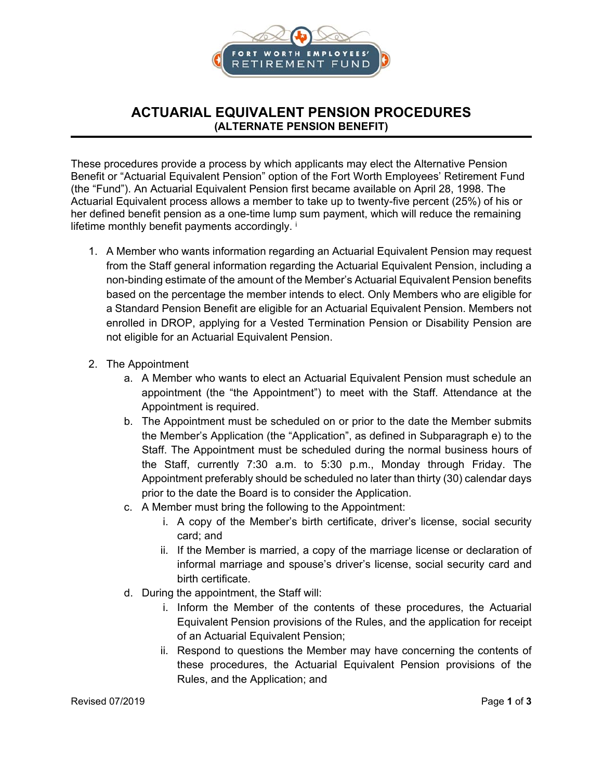

## **ACTUARIAL EQUIVALENT PENSION PROCEDURES (ALTERNATE PENSION BENEFIT)**

These procedures provide a process by which applicants may elect the Alternative Pension Benefit or "Actuarial Equivalent Pension" option of the Fort Worth Employees' Retirement Fund (the "Fund"). An Actuarial Equivalent Pension first became available on April 28, 1998. The Actuarial Equivalent process allows a member to take up to twenty-five percent (25%) of his or her defined benefit pension as a one-time lump sum payment, which will reduce the remaining lifetime monthly benefit payments accordingly. i

- 1. A Member who wants information regarding an Actuarial Equivalent Pension may request from the Staff general information regarding the Actuarial Equivalent Pension, including a non-binding estimate of the amount of the Member's Actuarial Equivalent Pension benefits based on the percentage the member intends to elect. Only Members who are eligible for a Standard Pension Benefit are eligible for an Actuarial Equivalent Pension. Members not enrolled in DROP, applying for a Vested Termination Pension or Disability Pension are not eligible for an Actuarial Equivalent Pension.
- 2. The Appointment
	- a. A Member who wants to elect an Actuarial Equivalent Pension must schedule an appointment (the "the Appointment") to meet with the Staff. Attendance at the Appointment is required.
	- b. The Appointment must be scheduled on or prior to the date the Member submits the Member's Application (the "Application", as defined in Subparagraph e) to the Staff. The Appointment must be scheduled during the normal business hours of the Staff, currently 7:30 a.m. to 5:30 p.m., Monday through Friday. The Appointment preferably should be scheduled no later than thirty (30) calendar days prior to the date the Board is to consider the Application.
	- c. A Member must bring the following to the Appointment:
		- i. A copy of the Member's birth certificate, driver's license, social security card; and
		- ii. If the Member is married, a copy of the marriage license or declaration of informal marriage and spouse's driver's license, social security card and birth certificate.
	- d. During the appointment, the Staff will:
		- i. Inform the Member of the contents of these procedures, the Actuarial Equivalent Pension provisions of the Rules, and the application for receipt of an Actuarial Equivalent Pension;
		- ii. Respond to questions the Member may have concerning the contents of these procedures, the Actuarial Equivalent Pension provisions of the Rules, and the Application; and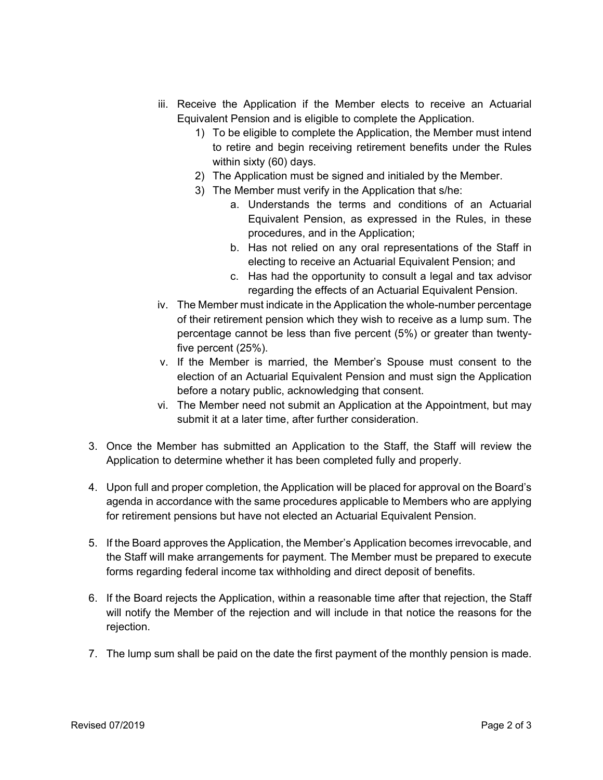- iii. Receive the Application if the Member elects to receive an Actuarial Equivalent Pension and is eligible to complete the Application.
	- 1) To be eligible to complete the Application, the Member must intend to retire and begin receiving retirement benefits under the Rules within sixty (60) days.
	- 2) The Application must be signed and initialed by the Member.
	- 3) The Member must verify in the Application that s/he:
		- a. Understands the terms and conditions of an Actuarial Equivalent Pension, as expressed in the Rules, in these procedures, and in the Application;
		- b. Has not relied on any oral representations of the Staff in electing to receive an Actuarial Equivalent Pension; and
		- c. Has had the opportunity to consult a legal and tax advisor regarding the effects of an Actuarial Equivalent Pension.
- iv. The Member must indicate in the Application the whole-number percentage of their retirement pension which they wish to receive as a lump sum. The percentage cannot be less than five percent (5%) or greater than twentyfive percent (25%).
- v. If the Member is married, the Member's Spouse must consent to the election of an Actuarial Equivalent Pension and must sign the Application before a notary public, acknowledging that consent.
- vi. The Member need not submit an Application at the Appointment, but may submit it at a later time, after further consideration.
- 3. Once the Member has submitted an Application to the Staff, the Staff will review the Application to determine whether it has been completed fully and properly.
- 4. Upon full and proper completion, the Application will be placed for approval on the Board's agenda in accordance with the same procedures applicable to Members who are applying for retirement pensions but have not elected an Actuarial Equivalent Pension.
- 5. If the Board approves the Application, the Member's Application becomes irrevocable, and the Staff will make arrangements for payment. The Member must be prepared to execute forms regarding federal income tax withholding and direct deposit of benefits.
- 6. If the Board rejects the Application, within a reasonable time after that rejection, the Staff will notify the Member of the rejection and will include in that notice the reasons for the rejection.
- 7. The lump sum shall be paid on the date the first payment of the monthly pension is made.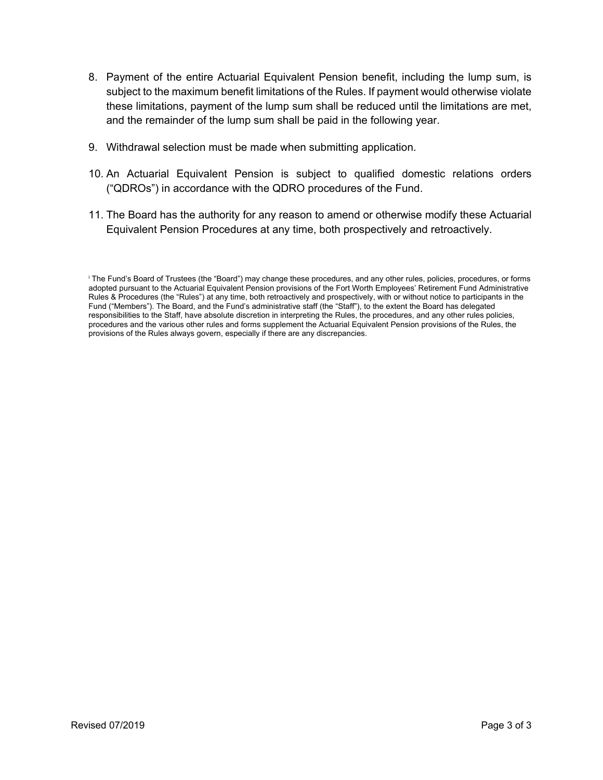- 8. Payment of the entire Actuarial Equivalent Pension benefit, including the lump sum, is subject to the maximum benefit limitations of the Rules. If payment would otherwise violate these limitations, payment of the lump sum shall be reduced until the limitations are met, and the remainder of the lump sum shall be paid in the following year.
- 9. Withdrawal selection must be made when submitting application.
- 10. An Actuarial Equivalent Pension is subject to qualified domestic relations orders ("QDROs") in accordance with the QDRO procedures of the Fund.
- 11. The Board has the authority for any reason to amend or otherwise modify these Actuarial Equivalent Pension Procedures at any time, both prospectively and retroactively.

i The Fund's Board of Trustees (the "Board") may change these procedures, and any other rules, policies, procedures, or forms adopted pursuant to the Actuarial Equivalent Pension provisions of the Fort Worth Employees' Retirement Fund Administrative Rules & Procedures (the "Rules") at any time, both retroactively and prospectively, with or without notice to participants in the Fund ("Members"). The Board, and the Fund's administrative staff (the "Staff"), to the extent the Board has delegated responsibilities to the Staff, have absolute discretion in interpreting the Rules, the procedures, and any other rules policies, procedures and the various other rules and forms supplement the Actuarial Equivalent Pension provisions of the Rules, the provisions of the Rules always govern, especially if there are any discrepancies.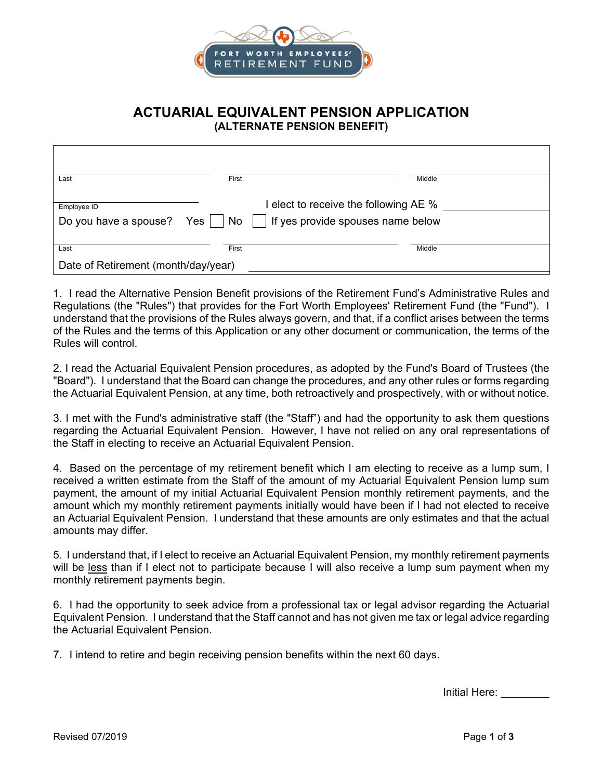

## **ACTUARIAL EQUIVALENT PENSION APPLICATION (ALTERNATE PENSION BENEFIT)**

| Last                                 | First                                                                                  | Middle |  |
|--------------------------------------|----------------------------------------------------------------------------------------|--------|--|
| Employee ID<br>Do you have a spouse? | elect to receive the following AE %<br>If yes provide spouses name below<br>Yes     No |        |  |
| Last                                 | First                                                                                  | Middle |  |
| Date of Retirement (month/day/year)  |                                                                                        |        |  |

1. I read the Alternative Pension Benefit provisions of the Retirement Fund's Administrative Rules and Regulations (the "Rules") that provides for the Fort Worth Employees' Retirement Fund (the "Fund"). I understand that the provisions of the Rules always govern, and that, if a conflict arises between the terms of the Rules and the terms of this Application or any other document or communication, the terms of the Rules will control.

2. I read the Actuarial Equivalent Pension procedures, as adopted by the Fund's Board of Trustees (the "Board"). I understand that the Board can change the procedures, and any other rules or forms regarding the Actuarial Equivalent Pension, at any time, both retroactively and prospectively, with or without notice.

3. I met with the Fund's administrative staff (the "Staff") and had the opportunity to ask them questions regarding the Actuarial Equivalent Pension. However, I have not relied on any oral representations of the Staff in electing to receive an Actuarial Equivalent Pension.

4. Based on the percentage of my retirement benefit which I am electing to receive as a lump sum, I received a written estimate from the Staff of the amount of my Actuarial Equivalent Pension lump sum payment, the amount of my initial Actuarial Equivalent Pension monthly retirement payments, and the amount which my monthly retirement payments initially would have been if I had not elected to receive an Actuarial Equivalent Pension. I understand that these amounts are only estimates and that the actual amounts may differ.

5. I understand that, if I elect to receive an Actuarial Equivalent Pension, my monthly retirement payments will be less than if I elect not to participate because I will also receive a lump sum payment when my monthly retirement payments begin.

6. I had the opportunity to seek advice from a professional tax or legal advisor regarding the Actuarial Equivalent Pension. I understand that the Staff cannot and has not given me tax or legal advice regarding the Actuarial Equivalent Pension.

7. I intend to retire and begin receiving pension benefits within the next 60 days.

Initial Here: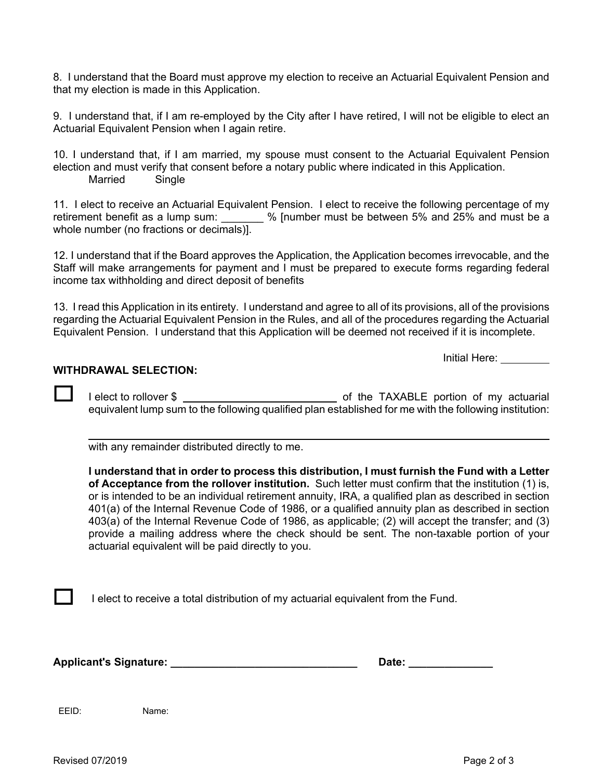8. I understand that the Board must approve my election to receive an Actuarial Equivalent Pension and that my election is made in this Application.

9. I understand that, if I am re-employed by the City after I have retired, I will not be eligible to elect an Actuarial Equivalent Pension when I again retire.

10. I understand that, if I am married, my spouse must consent to the Actuarial Equivalent Pension election and must verify that consent before a notary public where indicated in this Application. Married Single

11. I elect to receive an Actuarial Equivalent Pension. I elect to receive the following percentage of my retirement benefit as a lump sum:  $\%$  [number must be between 5% and 25% and must be a whole number (no fractions or decimals)].

12. I understand that if the Board approves the Application, the Application becomes irrevocable, and the Staff will make arrangements for payment and I must be prepared to execute forms regarding federal income tax withholding and direct deposit of benefits

13. I read this Application in its entirety. I understand and agree to all of its provisions, all of the provisions regarding the Actuarial Equivalent Pension in the Rules, and all of the procedures regarding the Actuarial Equivalent Pension. I understand that this Application will be deemed not received if it is incomplete.

Initial Here:

## **WITHDRAWAL SELECTION:**

 $\overline{a}$ 

I elect to rollover \$ of the TAXABLE portion of my actuarial equivalent lump sum to the following qualified plan established for me with the following institution:

with any remainder distributed directly to me.

**I understand that in order to process this distribution, I must furnish the Fund with a Letter of Acceptance from the rollover institution.** Such letter must confirm that the institution (1) is, or is intended to be an individual retirement annuity, IRA, a qualified plan as described in section 401(a) of the Internal Revenue Code of 1986, or a qualified annuity plan as described in section 403(a) of the Internal Revenue Code of 1986, as applicable; (2) will accept the transfer; and (3) provide a mailing address where the check should be sent. The non-taxable portion of your actuarial equivalent will be paid directly to you.

I elect to receive a total distribution of my actuarial equivalent from the Fund.

Applicant's Signature: **Alternative Signature: Alternative Signature: Date: Date: Butchers** 

EEID: Name:

 $\mathbf{I}$ 

Revised 07/2019 Page 2 of 3